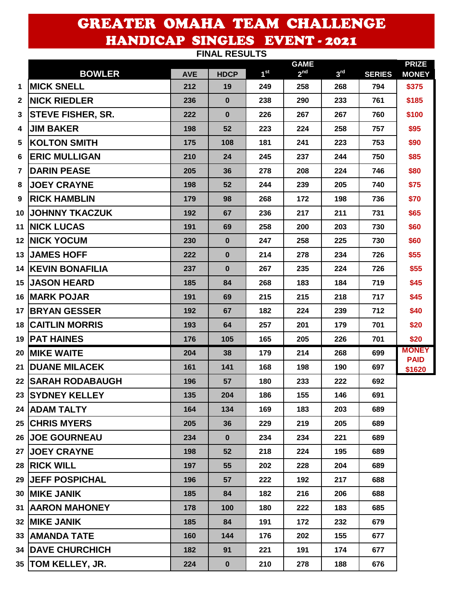## GREATER OMAHA TEAM CHALLENGE HANDICAP SINGLES EVENT - 2021 **FINAL RESULTS**

| <b>FINAL RESULIS</b>     |                                                                                                                                                                                                                                                                                                                                                                                                                                                                                                                                                                                                            |              |                 |                 |                 |               |                              |  |
|--------------------------|------------------------------------------------------------------------------------------------------------------------------------------------------------------------------------------------------------------------------------------------------------------------------------------------------------------------------------------------------------------------------------------------------------------------------------------------------------------------------------------------------------------------------------------------------------------------------------------------------------|--------------|-----------------|-----------------|-----------------|---------------|------------------------------|--|
| <b>BOWLER</b>            | <b>AVE</b>                                                                                                                                                                                                                                                                                                                                                                                                                                                                                                                                                                                                 | <b>HDCP</b>  | 1 <sup>st</sup> | 2 <sup>nd</sup> | 3 <sup>rd</sup> | <b>SERIES</b> | <b>PRIZE</b><br><b>MONEY</b> |  |
| <b>MICK SNELL</b>        | 212                                                                                                                                                                                                                                                                                                                                                                                                                                                                                                                                                                                                        | 19           | 249             | 258             | 268             | 794           | \$375                        |  |
| <b>NICK RIEDLER</b>      | 236                                                                                                                                                                                                                                                                                                                                                                                                                                                                                                                                                                                                        | $\bf{0}$     | 238             | 290             | 233             | 761           | \$185                        |  |
| <b>STEVE FISHER, SR.</b> | 222                                                                                                                                                                                                                                                                                                                                                                                                                                                                                                                                                                                                        | $\mathbf 0$  | 226             | 267             | 267             | 760           | \$100                        |  |
| <b>JIM BAKER</b>         | 198                                                                                                                                                                                                                                                                                                                                                                                                                                                                                                                                                                                                        | 52           | 223             | 224             | 258             | 757           | \$95                         |  |
| <b>KOLTON SMITH</b>      | 175                                                                                                                                                                                                                                                                                                                                                                                                                                                                                                                                                                                                        | 108          | 181             | 241             | 223             | 753           | \$90                         |  |
| <b>ERIC MULLIGAN</b>     | 210                                                                                                                                                                                                                                                                                                                                                                                                                                                                                                                                                                                                        | 24           | 245             | 237             | 244             | 750           | \$85                         |  |
| <b>DARIN PEASE</b>       | 205                                                                                                                                                                                                                                                                                                                                                                                                                                                                                                                                                                                                        | 36           | 278             | 208             | 224             | 746           | \$80                         |  |
| <b>JOEY CRAYNE</b>       | 198                                                                                                                                                                                                                                                                                                                                                                                                                                                                                                                                                                                                        | 52           | 244             | 239             | 205             | 740           | \$75                         |  |
| <b>RICK HAMBLIN</b>      | 179                                                                                                                                                                                                                                                                                                                                                                                                                                                                                                                                                                                                        | 98           | 268             | 172             | 198             | 736           | \$70                         |  |
|                          | 192                                                                                                                                                                                                                                                                                                                                                                                                                                                                                                                                                                                                        | 67           | 236             | 217             | 211             | 731           | \$65                         |  |
|                          | 191                                                                                                                                                                                                                                                                                                                                                                                                                                                                                                                                                                                                        | 69           | 258             | 200             | 203             | 730           | \$60                         |  |
|                          | 230                                                                                                                                                                                                                                                                                                                                                                                                                                                                                                                                                                                                        | $\mathbf 0$  | 247             | 258             | 225             | 730           | \$60                         |  |
|                          | 222                                                                                                                                                                                                                                                                                                                                                                                                                                                                                                                                                                                                        | $\mathbf 0$  | 214             | 278             | 234             | 726           | \$55                         |  |
|                          | 237                                                                                                                                                                                                                                                                                                                                                                                                                                                                                                                                                                                                        | $\mathbf{0}$ | 267             | 235             | 224             | 726           | \$55                         |  |
|                          | 185                                                                                                                                                                                                                                                                                                                                                                                                                                                                                                                                                                                                        | 84           | 268             | 183             | 184             | 719           | \$45                         |  |
|                          | 191                                                                                                                                                                                                                                                                                                                                                                                                                                                                                                                                                                                                        | 69           | 215             | 215             | 218             | 717           | \$45                         |  |
|                          | 192                                                                                                                                                                                                                                                                                                                                                                                                                                                                                                                                                                                                        | 67           | 182             | 224             | 239             | 712           | \$40                         |  |
| <b>CAITLIN MORRIS</b>    | 193                                                                                                                                                                                                                                                                                                                                                                                                                                                                                                                                                                                                        | 64           | 257             | 201             | 179             | 701           | \$20                         |  |
|                          | 176                                                                                                                                                                                                                                                                                                                                                                                                                                                                                                                                                                                                        | 105          | 165             | 205             | 226             | 701           | \$20                         |  |
|                          | 204                                                                                                                                                                                                                                                                                                                                                                                                                                                                                                                                                                                                        | 38           | 179             | 214             | 268             | 699           | <b>MONEY</b><br><b>PAID</b>  |  |
|                          | 161                                                                                                                                                                                                                                                                                                                                                                                                                                                                                                                                                                                                        | 141          | 168             | 198             | 190             | 697           | \$1620                       |  |
|                          | 196                                                                                                                                                                                                                                                                                                                                                                                                                                                                                                                                                                                                        | 57           | 180             | 233             | 222             | 692           |                              |  |
|                          | 135                                                                                                                                                                                                                                                                                                                                                                                                                                                                                                                                                                                                        | 204          | 186             | 155             | 146             | 691           |                              |  |
|                          | 164                                                                                                                                                                                                                                                                                                                                                                                                                                                                                                                                                                                                        | 134          | 169             | 183             | 203             | 689           |                              |  |
|                          | 205                                                                                                                                                                                                                                                                                                                                                                                                                                                                                                                                                                                                        | 36           | 229             | 219             | 205             | 689           |                              |  |
|                          | 234                                                                                                                                                                                                                                                                                                                                                                                                                                                                                                                                                                                                        | $\mathbf 0$  | 234             | 234             | 221             | 689           |                              |  |
|                          | 198                                                                                                                                                                                                                                                                                                                                                                                                                                                                                                                                                                                                        | 52           | 218             | 224             | 195             | 689           |                              |  |
|                          | 197                                                                                                                                                                                                                                                                                                                                                                                                                                                                                                                                                                                                        | 55           | 202             | 228             | 204             | 689           |                              |  |
|                          | 196                                                                                                                                                                                                                                                                                                                                                                                                                                                                                                                                                                                                        | 57           | 222             | 192             | 217             | 688           |                              |  |
|                          | 185                                                                                                                                                                                                                                                                                                                                                                                                                                                                                                                                                                                                        | 84           | 182             | 216             | 206             | 688           |                              |  |
|                          | 178                                                                                                                                                                                                                                                                                                                                                                                                                                                                                                                                                                                                        | 100          | 180             | 222             | 183             | 685           |                              |  |
|                          | 185                                                                                                                                                                                                                                                                                                                                                                                                                                                                                                                                                                                                        | 84           | 191             | 172             | 232             | 679           |                              |  |
|                          | 160                                                                                                                                                                                                                                                                                                                                                                                                                                                                                                                                                                                                        | 144          | 176             | 202             | 155             | 677           |                              |  |
|                          | 182                                                                                                                                                                                                                                                                                                                                                                                                                                                                                                                                                                                                        | 91           | 221             | 191             | 174             | 677           |                              |  |
|                          | 224                                                                                                                                                                                                                                                                                                                                                                                                                                                                                                                                                                                                        | $\mathbf 0$  | 210             | 278             | 188             | 676           |                              |  |
|                          | <b>JOHNNY TKACZUK</b><br><b>INICK LUCAS</b><br><b>12 NICK YOCUM</b><br><b>JAMES HOFF</b><br><b>14 KEVIN BONAFILIA</b><br><b>15 JASON HEARD</b><br>16   MARK POJAR<br>17 BRYAN GESSER<br>18 I<br><b>19   PAT HAINES</b><br>20 MIKE WAITE<br><b>DUANE MILACEK</b><br><b>22 SARAH RODABAUGH</b><br>23 SYDNEY KELLEY<br>24 ADAM TALTY<br><b>25 CHRIS MYERS</b><br><b>26 JOE GOURNEAU</b><br>27 JOEY CRAYNE<br>28 RICK WILL<br><b>29 JEFF POSPICHAL</b><br><b>30   MIKE JANIK</b><br><b>31   AARON MAHONEY</b><br><b>32  MIKE JANIK</b><br>33 AMANDA TATE<br><b>34   DAVE CHURCHICH</b><br>35   TOM KELLEY, JR. |              |                 |                 | <b>GAME</b>     |               |                              |  |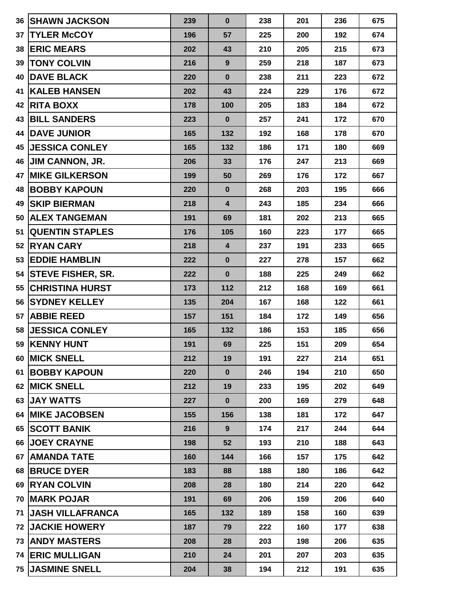| 36          | <b>SHAWN JACKSON</b>     | 239 | $\bf{0}$                | 238 | 201 | 236 | 675 |
|-------------|--------------------------|-----|-------------------------|-----|-----|-----|-----|
| 37          | <b>TYLER McCOY</b>       | 196 | 57                      | 225 | 200 | 192 | 674 |
| 38          | <b>ERIC MEARS</b>        | 202 | 43                      | 210 | 205 | 215 | 673 |
| 39          | <b>TONY COLVIN</b>       | 216 | 9                       | 259 | 218 | 187 | 673 |
| 40          | <b>DAVE BLACK</b>        | 220 | $\bf{0}$                | 238 | 211 | 223 | 672 |
| 41          | <b>KALEB HANSEN</b>      | 202 | 43                      | 224 | 229 | 176 | 672 |
| 42          | <b>RITA BOXX</b>         | 178 | 100                     | 205 | 183 | 184 | 672 |
| 43          | <b>BILL SANDERS</b>      | 223 | $\bf{0}$                | 257 | 241 | 172 | 670 |
| 44          | <b>DAVE JUNIOR</b>       | 165 | 132                     | 192 | 168 | 178 | 670 |
| 45          | <b>JESSICA CONLEY</b>    | 165 | 132                     | 186 | 171 | 180 | 669 |
| 46          | <b>JIM CANNON, JR.</b>   | 206 | 33                      | 176 | 247 | 213 | 669 |
| 47          | <b>MIKE GILKERSON</b>    | 199 | 50                      | 269 | 176 | 172 | 667 |
| 48          | <b>BOBBY KAPOUN</b>      | 220 | $\bf{0}$                | 268 | 203 | 195 | 666 |
| 49          | <b>SKIP BIERMAN</b>      | 218 | 4                       | 243 | 185 | 234 | 666 |
| 50          | <b>ALEX TANGEMAN</b>     | 191 | 69                      | 181 | 202 | 213 | 665 |
| 51          | <b>QUENTIN STAPLES</b>   | 176 | 105                     | 160 | 223 | 177 | 665 |
| 52          | <b>RYAN CARY</b>         | 218 | $\overline{\mathbf{4}}$ | 237 | 191 | 233 | 665 |
| 53          | <b>EDDIE HAMBLIN</b>     | 222 | $\bf{0}$                | 227 | 278 | 157 | 662 |
| 54          | <b>STEVE FISHER, SR.</b> | 222 | $\bf{0}$                | 188 | 225 | 249 | 662 |
| 55          | <b>CHRISTINA HURST</b>   | 173 | 112                     | 212 | 168 | 169 | 661 |
| 56          | <b>SYDNEY KELLEY</b>     | 135 | 204                     | 167 | 168 | 122 | 661 |
| 57          | <b>ABBIE REED</b>        | 157 | 151                     | 184 | 172 | 149 | 656 |
| 58          | <b>JESSICA CONLEY</b>    | 165 | 132                     | 186 | 153 | 185 | 656 |
|             | 59 KENNY HUNT            | 191 | 69                      | 225 | 151 | 209 | 654 |
|             | 60 MICK SNELL            | 212 | 19                      | 191 | 227 | 214 | 651 |
| 61          | <b>BOBBY KAPOUN</b>      | 220 | $\bf{0}$                | 246 | 194 | 210 | 650 |
|             | 62 MICK SNELL            | 212 | 19                      | 233 | 195 | 202 | 649 |
|             | 63 JAY WATTS             | 227 | $\bf{0}$                | 200 | 169 | 279 | 648 |
|             | <b>64 IMIKE JACOBSEN</b> | 155 | 156                     | 138 | 181 | 172 | 647 |
|             | 65 SCOTT BANIK           | 216 | 9                       | 174 | 217 | 244 | 644 |
|             | <b>66 JOEY CRAYNE</b>    | 198 | 52                      | 193 | 210 | 188 | 643 |
| 67          | <b>AMANDA TATE</b>       | 160 | 144                     | 166 | 157 | 175 | 642 |
|             | 68 BRUCE DYER            | 183 | 88                      | 188 | 180 | 186 | 642 |
|             | 69 RYAN COLVIN           | 208 | 28                      | 180 | 214 | 220 | 642 |
|             | 70 MARK POJAR            | 191 | 69                      | 206 | 159 | 206 | 640 |
| 71          | <b>JASH VILLAFRANCA</b>  | 165 | 132                     | 189 | 158 | 160 | 639 |
| <b>72</b> I | <b>JACKIE HOWERY</b>     | 187 | 79                      | 222 | 160 | 177 | 638 |
|             | <b>73   ANDY MASTERS</b> | 208 | 28                      | 203 | 198 | 206 | 635 |
|             | <b>74 ERIC MULLIGAN</b>  | 210 | 24                      | 201 | 207 | 203 | 635 |
|             | 75 JASMINE SNELL         | 204 | 38                      | 194 | 212 | 191 | 635 |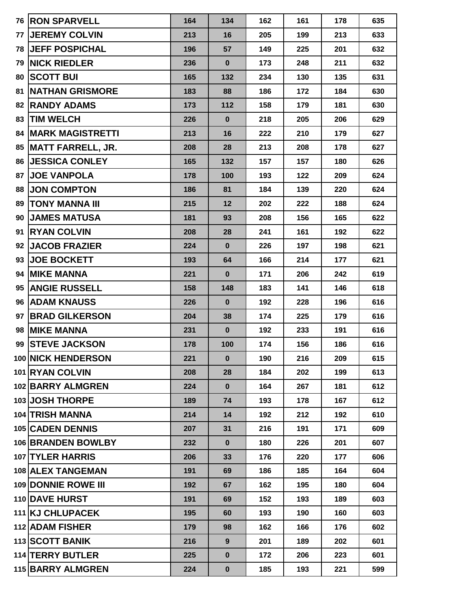| 76 | <b>RON SPARVELL</b>       | 164 | 134      | 162 | 161 | 178 | 635 |
|----|---------------------------|-----|----------|-----|-----|-----|-----|
| 77 | <b>JEREMY COLVIN</b>      | 213 | 16       | 205 | 199 | 213 | 633 |
| 78 | <b>JEFF POSPICHAL</b>     | 196 | 57       | 149 | 225 | 201 | 632 |
| 79 | <b>NICK RIEDLER</b>       | 236 | $\bf{0}$ | 173 | 248 | 211 | 632 |
| 80 | <b>SCOTT BUI</b>          | 165 | 132      | 234 | 130 | 135 | 631 |
| 81 | <b>NATHAN GRISMORE</b>    | 183 | 88       | 186 | 172 | 184 | 630 |
| 82 | <b>RANDY ADAMS</b>        | 173 | 112      | 158 | 179 | 181 | 630 |
| 83 | <b>TIM WELCH</b>          | 226 | $\bf{0}$ | 218 | 205 | 206 | 629 |
| 84 | <b>MARK MAGISTRETTI</b>   | 213 | 16       | 222 | 210 | 179 | 627 |
| 85 | <b>MATT FARRELL, JR.</b>  | 208 | 28       | 213 | 208 | 178 | 627 |
| 86 | <b>JESSICA CONLEY</b>     | 165 | 132      | 157 | 157 | 180 | 626 |
| 87 | <b>JOE VANPOLA</b>        | 178 | 100      | 193 | 122 | 209 | 624 |
| 88 | <b>JON COMPTON</b>        | 186 | 81       | 184 | 139 | 220 | 624 |
| 89 | <b>TONY MANNA III</b>     | 215 | 12       | 202 | 222 | 188 | 624 |
| 90 | <b>JAMES MATUSA</b>       | 181 | 93       | 208 | 156 | 165 | 622 |
| 91 | <b>IRYAN COLVIN</b>       | 208 | 28       | 241 | 161 | 192 | 622 |
| 92 | <b>JACOB FRAZIER</b>      | 224 | $\bf{0}$ | 226 | 197 | 198 | 621 |
| 93 | <b>JOE BOCKETT</b>        | 193 | 64       | 166 | 214 | 177 | 621 |
| 94 | <b>MIKE MANNA</b>         | 221 | $\bf{0}$ | 171 | 206 | 242 | 619 |
| 95 | <b>ANGIE RUSSELL</b>      | 158 | 148      | 183 | 141 | 146 | 618 |
|    | 96 ADAM KNAUSS            | 226 | $\bf{0}$ | 192 | 228 | 196 | 616 |
| 97 | <b>BRAD GILKERSON</b>     | 204 | 38       | 174 | 225 | 179 | 616 |
| 98 | <b>MIKE MANNA</b>         | 231 | $\bf{0}$ | 192 | 233 | 191 | 616 |
|    | 99 STEVE JACKSON          | 178 | 100      | 174 | 156 | 186 | 616 |
|    | <b>100 NICK HENDERSON</b> | 221 | $\bf{0}$ | 190 | 216 | 209 | 615 |
|    | 101 RYAN COLVIN           | 208 | 28       | 184 | 202 | 199 | 613 |
|    | 102 BARRY ALMGREN         | 224 | $\bf{0}$ | 164 | 267 | 181 | 612 |
|    | <b>103 JOSH THORPE</b>    | 189 | 74       | 193 | 178 | 167 | 612 |
|    | 104 TRISH MANNA           | 214 | 14       | 192 | 212 | 192 | 610 |
|    | <b>105 CADEN DENNIS</b>   | 207 | 31       | 216 | 191 | 171 | 609 |
|    | 106 BRANDEN BOWLBY        | 232 | $\bf{0}$ | 180 | 226 | 201 | 607 |
|    | 107 TYLER HARRIS          | 206 | 33       | 176 | 220 | 177 | 606 |
|    | <b>108 ALEX TANGEMAN</b>  | 191 | 69       | 186 | 185 | 164 | 604 |
|    | 109 DONNIE ROWE III       | 192 | 67       | 162 | 195 | 180 | 604 |
|    | 110 DAVE HURST            | 191 | 69       | 152 | 193 | 189 | 603 |
|    | <b>111 KJ CHLUPACEK</b>   | 195 | 60       | 193 | 190 | 160 | 603 |
|    | 112 ADAM FISHER           | 179 | 98       | 162 | 166 | 176 | 602 |
|    | <b>113 SCOTT BANIK</b>    | 216 | 9        | 201 | 189 | 202 | 601 |
|    | <b>114 TERRY BUTLER</b>   | 225 | $\bf{0}$ | 172 | 206 | 223 | 601 |
|    | 115 BARRY ALMGREN         | 224 | $\bf{0}$ | 185 | 193 | 221 | 599 |
|    |                           |     |          |     |     |     |     |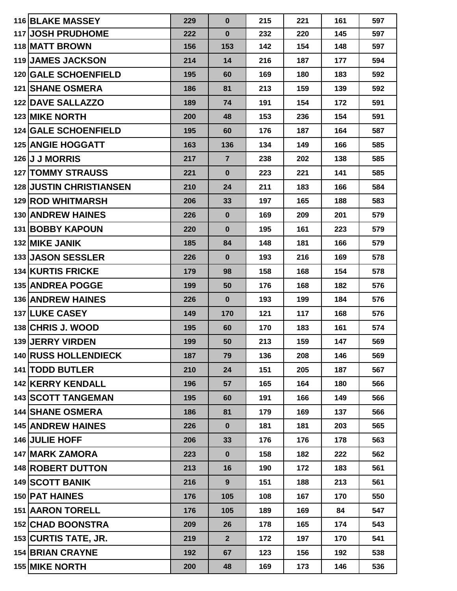| <b>116 BLAKE MASSEY</b>        | 229 | $\bf{0}$       | 215 | 221 | 161 | 597 |
|--------------------------------|-----|----------------|-----|-----|-----|-----|
| 117 JOSH PRUDHOME              | 222 | $\mathbf 0$    | 232 | 220 | 145 | 597 |
| 118 MATT BROWN                 | 156 | 153            | 142 | 154 | 148 | 597 |
| <b>119 JAMES JACKSON</b>       | 214 | 14             | 216 | 187 | 177 | 594 |
| <b>120 GALE SCHOENFIELD</b>    | 195 | 60             | 169 | 180 | 183 | 592 |
| <b>121 SHANE OSMERA</b>        | 186 | 81             | 213 | 159 | 139 | 592 |
| <b>122 DAVE SALLAZZO</b>       | 189 | 74             | 191 | 154 | 172 | 591 |
| <b>123 MIKE NORTH</b>          | 200 | 48             | 153 | 236 | 154 | 591 |
| <b>124 GALE SCHOENFIELD</b>    | 195 | 60             | 176 | 187 | 164 | 587 |
| <b>125 ANGIE HOGGATT</b>       | 163 | 136            | 134 | 149 | 166 | 585 |
| 126 J J MORRIS                 | 217 | $\overline{7}$ | 238 | 202 | 138 | 585 |
| <b>127 TOMMY STRAUSS</b>       | 221 | $\bf{0}$       | 223 | 221 | 141 | 585 |
| <b>128 JUSTIN CHRISTIANSEN</b> | 210 | 24             | 211 | 183 | 166 | 584 |
| <b>129 ROD WHITMARSH</b>       | 206 | 33             | 197 | 165 | 188 | 583 |
| <b>130 ANDREW HAINES</b>       | 226 | $\bf{0}$       | 169 | 209 | 201 | 579 |
| 131 BOBBY KAPOUN               | 220 | $\bf{0}$       | 195 | 161 | 223 | 579 |
| 132 MIKE JANIK                 | 185 | 84             | 148 | 181 | 166 | 579 |
| <b>133 JASON SESSLER</b>       | 226 | $\bf{0}$       | 193 | 216 | 169 | 578 |
| 134 KURTIS FRICKE              | 179 | 98             | 158 | 168 | 154 | 578 |
| <b>135 ANDREA POGGE</b>        | 199 | 50             | 176 | 168 | 182 | 576 |
| 136 ANDREW HAINES              | 226 | $\mathbf 0$    | 193 | 199 | 184 | 576 |
| 137 LUKE CASEY                 | 149 | 170            | 121 | 117 | 168 | 576 |
| 138 CHRIS J. WOOD              | 195 | 60             | 170 | 183 | 161 | 574 |
| 139 JERRY VIRDEN               | 199 | 50             | 213 | 159 | 147 | 569 |
| 140 RUSS HOLLENDIECK           | 187 | 79             | 136 | 208 | 146 | 569 |
| 141 TODD BUTLER                | 210 | 24             | 151 | 205 | 187 | 567 |
| <b>142 KERRY KENDALL</b>       | 196 | 57             | 165 | 164 | 180 | 566 |
| 143 SCOTT TANGEMAN             | 195 | 60             | 191 | 166 | 149 | 566 |
| <b>144 SHANE OSMERA</b>        | 186 | 81             | 179 | 169 | 137 | 566 |
| <b>145 ANDREW HAINES</b>       | 226 | $\bf{0}$       | 181 | 181 | 203 | 565 |
| 146 JULIE HOFF                 | 206 | 33             | 176 | 176 | 178 | 563 |
| <b>147 MARK ZAMORA</b>         | 223 | $\bf{0}$       | 158 | 182 | 222 | 562 |
| <b>148 ROBERT DUTTON</b>       | 213 | 16             | 190 | 172 | 183 | 561 |
| 149 SCOTT BANIK                | 216 | 9              | 151 | 188 | 213 | 561 |
| 150 PAT HAINES                 | 176 | 105            | 108 | 167 | 170 | 550 |
| <b>151 AARON TORELL</b>        | 176 | 105            | 189 | 169 | 84  | 547 |
| 152 CHAD BOONSTRA              | 209 | 26             | 178 | 165 | 174 | 543 |
| 153 CURTIS TATE, JR.           | 219 | 2 <sup>2</sup> | 172 | 197 | 170 | 541 |
| <b>154 BRIAN CRAYNE</b>        | 192 | 67             | 123 | 156 | 192 | 538 |
| 155 MIKE NORTH                 | 200 | 48             | 169 | 173 | 146 | 536 |